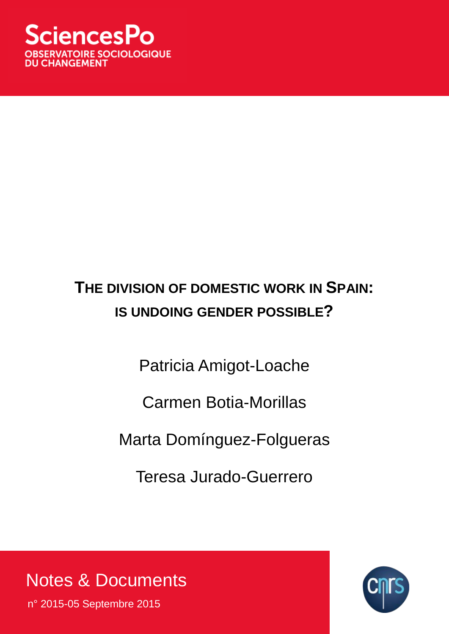# **THE DIVISION OF DOMESTIC WORK IN SPAIN: IS UNDOING GENDER POSSIBLE?**

Patricia Amigot-Loache

Carmen Botia-Morillas

Marta Domínguez-Folgueras

Teresa Jurado-Guerrero

Notes & Documents

n° 2015-05 Septembre 2015

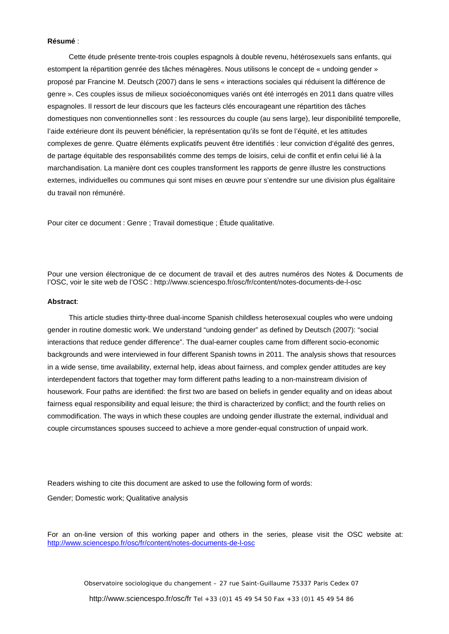#### **Résumé** :

Cette étude présente trente-trois couples espagnols à double revenu, hétérosexuels sans enfants, qui estompent la répartition genrée des tâches ménagères. Nous utilisons le concept de « undoing gender » proposé par Francine M. Deutsch (2007) dans le sens « interactions sociales qui réduisent la différence de genre ». Ces couples issus de milieux socioéconomiques variés ont été interrogés en 2011 dans quatre villes espagnoles. Il ressort de leur discours que les facteurs clés encourageant une répartition des tâches domestiques non conventionnelles sont : les ressources du couple (au sens large), leur disponibilité temporelle, l'aide extérieure dont ils peuvent bénéficier, la représentation qu'ils se font de l'équité, et les attitudes complexes de genre. Quatre éléments explicatifs peuvent être identifiés : leur conviction d'égalité des genres, de partage équitable des responsabilités comme des temps de loisirs, celui de conflit et enfin celui lié à la marchandisation. La manière dont ces couples transforment les rapports de genre illustre les constructions externes, individuelles ou communes qui sont mises en œuvre pour s'entendre sur une division plus égalitaire du travail non rémunéré.

Pour citer ce document : Genre ; Travail domestique ; Étude qualitative.

Pour une version électronique de ce document de travail et des autres numéros des Notes & Documents de l'OSC, voir le site web de l'OSC : http://www.sciencespo.fr/osc/fr/content/notes-documents-de-l-osc

#### **Abstract**:

This article studies thirty-three dual-income Spanish childless heterosexual couples who were undoing gender in routine domestic work. We understand "undoing gender" as defined by Deutsch (2007): "social interactions that reduce gender difference". The dual-earner couples came from different socio-economic backgrounds and were interviewed in four different Spanish towns in 2011. The analysis shows that resources in a wide sense, time availability, external help, ideas about fairness, and complex gender attitudes are key interdependent factors that together may form different paths leading to a non-mainstream division of housework. Four paths are identified: the first two are based on beliefs in gender equality and on ideas about fairness equal responsibility and equal leisure; the third is characterized by conflict; and the fourth relies on commodification. The ways in which these couples are undoing gender illustrate the external, individual and couple circumstances spouses succeed to achieve a more gender-equal construction of unpaid work.

Readers wishing to cite this document are asked to use the following form of words:

Gender; Domestic work; Qualitative analysis

For an on-line version of this working paper and others in the series, please visit the OSC website at: <http://www.sciencespo.fr/osc/fr/content/notes-documents-de-l-osc>

Observatoire sociologique du changement – 27 rue Saint-Guillaume 75337 Paris Cedex 07

http://www.sciencespo.fr/osc/fr Tel +33 (0)1 45 49 54 50 Fax +33 (0)1 45 49 54 86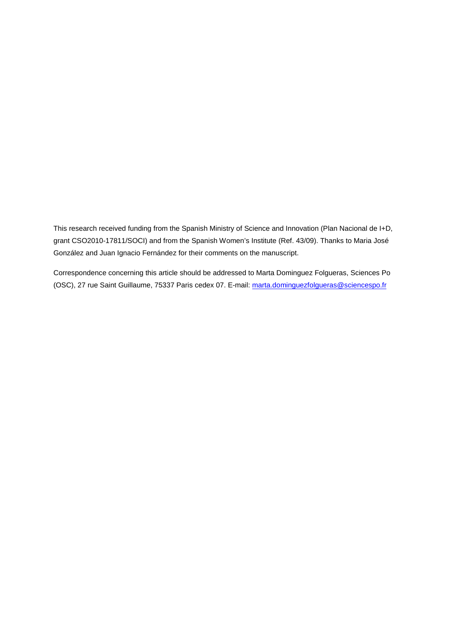This research received funding from the Spanish Ministry of Science and Innovation (Plan Nacional de I+D, grant CSO2010-17811/SOCI) and from the Spanish Women's Institute (Ref. 43/09). Thanks to Maria José González and Juan Ignacio Fernández for their comments on the manuscript.

Correspondence concerning this article should be addressed to Marta Dominguez Folgueras, Sciences Po (OSC), 27 rue Saint Guillaume, 75337 Paris cedex 07. E-mail: [marta.dominguezfolgueras@sciencespo.fr](mailto:marta.dominguezfolgueras@sciencespo.fr)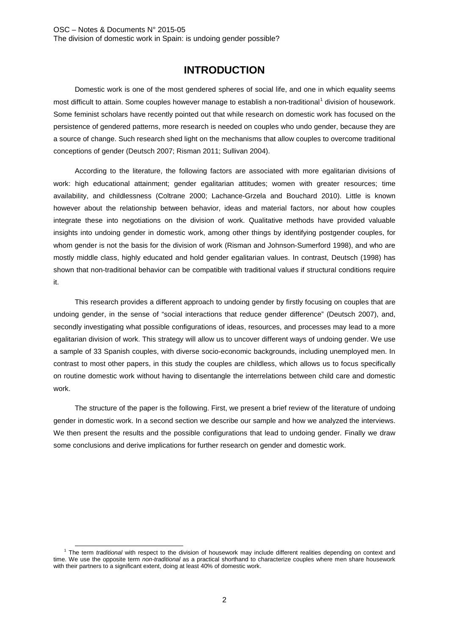# **INTRODUCTION**

Domestic work is one of the most gendered spheres of social life, and one in which equality seems most difficult to attain. Some couples however manage to establish a non-traditional<sup>[1](#page-3-0)</sup> division of housework. Some feminist scholars have recently pointed out that while research on domestic work has focused on the persistence of gendered patterns, more research is needed on couples who undo gender, because they are a source of change. Such research shed light on the mechanisms that allow couples to overcome traditional conceptions of gender (Deutsch 2007; Risman 2011; Sullivan 2004).

According to the literature, the following factors are associated with more egalitarian divisions of work: high educational attainment; gender egalitarian attitudes; women with greater resources; time availability, and childlessness (Coltrane 2000; Lachance-Grzela and Bouchard 2010). Little is known however about the relationship between behavior, ideas and material factors, nor about how couples integrate these into negotiations on the division of work. Qualitative methods have provided valuable insights into undoing gender in domestic work, among other things by identifying postgender couples, for whom gender is not the basis for the division of work (Risman and Johnson-Sumerford 1998), and who are mostly middle class, highly educated and hold gender egalitarian values. In contrast, Deutsch (1998) has shown that non-traditional behavior can be compatible with traditional values if structural conditions require it.

This research provides a different approach to undoing gender by firstly focusing on couples that are undoing gender, in the sense of "social interactions that reduce gender difference" (Deutsch 2007), and, secondly investigating what possible configurations of ideas, resources, and processes may lead to a more egalitarian division of work. This strategy will allow us to uncover different ways of undoing gender. We use a sample of 33 Spanish couples, with diverse socio-economic backgrounds, including unemployed men. In contrast to most other papers, in this study the couples are childless, which allows us to focus specifically on routine domestic work without having to disentangle the interrelations between child care and domestic work.

The structure of the paper is the following. First, we present a brief review of the literature of undoing gender in domestic work. In a second section we describe our sample and how we analyzed the interviews. We then present the results and the possible configurations that lead to undoing gender. Finally we draw some conclusions and derive implications for further research on gender and domestic work.

<span id="page-3-0"></span> <sup>1</sup> The term *traditional* with respect to the division of housework may include different realities depending on context and time. We use the opposite term *non-traditional* as a practical shorthand to characterize couples where men share housework with their partners to a significant extent, doing at least 40% of domestic work.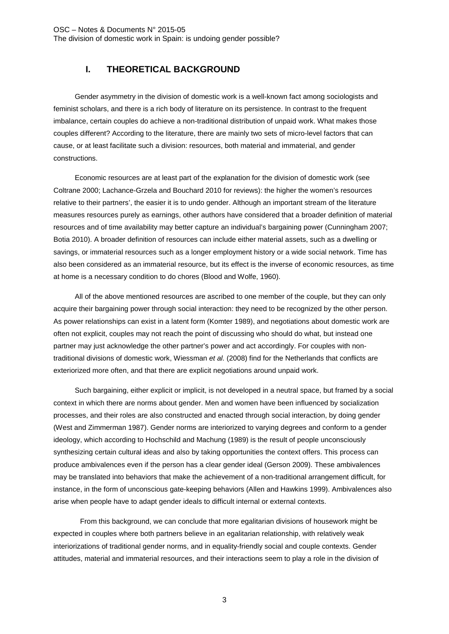## **I. THEORETICAL BACKGROUND**

Gender asymmetry in the division of domestic work is a well-known fact among sociologists and feminist scholars, and there is a rich body of literature on its persistence. In contrast to the frequent imbalance, certain couples do achieve a non-traditional distribution of unpaid work. What makes those couples different? According to the literature, there are mainly two sets of micro-level factors that can cause, or at least facilitate such a division: resources, both material and immaterial, and gender constructions.

Economic resources are at least part of the explanation for the division of domestic work (see Coltrane 2000; Lachance-Grzela and Bouchard 2010 for reviews): the higher the women's resources relative to their partners', the easier it is to undo gender. Although an important stream of the literature measures resources purely as earnings, other authors have considered that a broader definition of material resources and of time availability may better capture an individual's bargaining power (Cunningham 2007; Botia 2010). A broader definition of resources can include either material assets, such as a dwelling or savings, or immaterial resources such as a longer employment history or a wide social network. Time has also been considered as an immaterial resource, but its effect is the inverse of economic resources, as time at home is a necessary condition to do chores (Blood and Wolfe, 1960).

All of the above mentioned resources are ascribed to one member of the couple, but they can only acquire their bargaining power through social interaction: they need to be recognized by the other person. As power relationships can exist in a latent form (Komter 1989), and negotiations about domestic work are often not explicit, couples may not reach the point of discussing who should do what, but instead one partner may just acknowledge the other partner's power and act accordingly. For couples with nontraditional divisions of domestic work, Wiessman *et al.* (2008) find for the Netherlands that conflicts are exteriorized more often, and that there are explicit negotiations around unpaid work.

Such bargaining, either explicit or implicit, is not developed in a neutral space, but framed by a social context in which there are norms about gender. Men and women have been influenced by socialization processes, and their roles are also constructed and enacted through social interaction, by doing gender (West and Zimmerman 1987). Gender norms are interiorized to varying degrees and conform to a gender ideology, which according to Hochschild and Machung (1989) is the result of people unconsciously synthesizing certain cultural ideas and also by taking opportunities the context offers. This process can produce ambivalences even if the person has a clear gender ideal (Gerson 2009). These ambivalences may be translated into behaviors that make the achievement of a non-traditional arrangement difficult, for instance, in the form of unconscious gate-keeping behaviors (Allen and Hawkins 1999). Ambivalences also arise when people have to adapt gender ideals to difficult internal or external contexts.

From this background, we can conclude that more egalitarian divisions of housework might be expected in couples where both partners believe in an egalitarian relationship, with relatively weak interiorizations of traditional gender norms, and in equality-friendly social and couple contexts. Gender attitudes, material and immaterial resources, and their interactions seem to play a role in the division of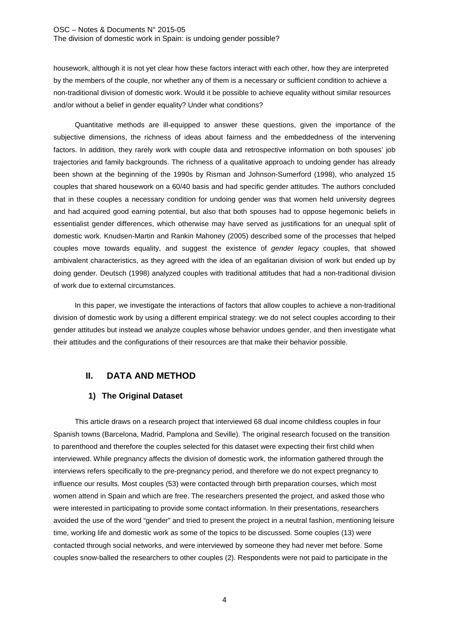housework, although it is not yet clear how these factors interact with each other, how they are interpreted by the members of the couple, nor whether any of them is a necessary or sufficient condition to achieve a non-traditional division of domestic work. Would it be possible to achieve equality without similar resources and/or without a belief in gender equality? Under what conditions?

Quantitative methods are ill-equipped to answer these questions, given the importance of the subjective dimensions, the richness of ideas about fairness and the embeddedness of the intervening factors. In addition, they rarely work with couple data and retrospective information on both spouses' job trajectories and family backgrounds. The richness of a qualitative approach to undoing gender has already been shown at the beginning of the 1990s by Risman and Johnson-Sumerford (1998), who analyzed 15 couples that shared housework on a 60/40 basis and had specific gender attitudes. The authors concluded that in these couples a necessary condition for undoing gender was that women held university degrees and had acquired good earning potential, but also that both spouses had to oppose hegemonic beliefs in essentialist gender differences, which otherwise may have served as justifications for an unequal split of domestic work. Knudsen-Martin and Rankin Mahoney (2005) described some of the processes that helped couples move towards equality, and suggest the existence of *gender legacy* couples, that showed ambivalent characteristics, as they agreed with the idea of an egalitarian division of work but ended up by doing gender. Deutsch (1998) analyzed couples with traditional attitudes that had a non-traditional division of work due to external circumstances.

In this paper, we investigate the interactions of factors that allow couples to achieve a non-traditional division of domestic work by using a different empirical strategy: we do not select couples according to their gender attitudes but instead we analyze couples whose behavior undoes gender, and then investigate what their attitudes and the configurations of their resources are that make their behavior possible.

## **II. DATA AND METHOD**

## **1) The Original Dataset**

This article draws on a research project that interviewed 68 dual income childless couples in four Spanish towns (Barcelona, Madrid, Pamplona and Seville). The original research focused on the transition to parenthood and therefore the couples selected for this dataset were expecting their first child when interviewed. While pregnancy affects the division of domestic work, the information gathered through the interviews refers specifically to the pre-pregnancy period, and therefore we do not expect pregnancy to influence our results. Most couples (53) were contacted through birth preparation courses, which most women attend in Spain and which are free. The researchers presented the project, and asked those who were interested in participating to provide some contact information. In their presentations, researchers avoided the use of the word "gender" and tried to present the project in a neutral fashion, mentioning leisure time, working life and domestic work as some of the topics to be discussed. Some couples (13) were contacted through social networks, and were interviewed by someone they had never met before. Some couples snow-balled the researchers to other couples (2). Respondents were not paid to participate in the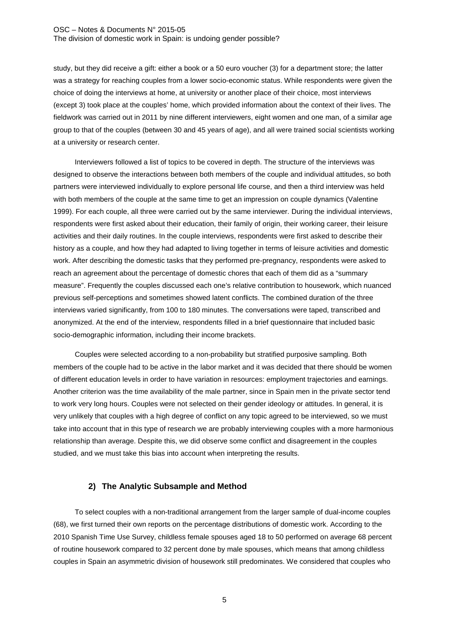study, but they did receive a gift: either a book or a 50 euro voucher (3) for a department store; the latter was a strategy for reaching couples from a lower socio-economic status. While respondents were given the choice of doing the interviews at home, at university or another place of their choice, most interviews (except 3) took place at the couples' home, which provided information about the context of their lives. The fieldwork was carried out in 2011 by nine different interviewers, eight women and one man, of a similar age group to that of the couples (between 30 and 45 years of age), and all were trained social scientists working at a university or research center.

Interviewers followed a list of topics to be covered in depth. The structure of the interviews was designed to observe the interactions between both members of the couple and individual attitudes, so both partners were interviewed individually to explore personal life course, and then a third interview was held with both members of the couple at the same time to get an impression on couple dynamics (Valentine 1999). For each couple, all three were carried out by the same interviewer. During the individual interviews, respondents were first asked about their education, their family of origin, their working career, their leisure activities and their daily routines. In the couple interviews, respondents were first asked to describe their history as a couple, and how they had adapted to living together in terms of leisure activities and domestic work. After describing the domestic tasks that they performed pre-pregnancy, respondents were asked to reach an agreement about the percentage of domestic chores that each of them did as a "summary measure". Frequently the couples discussed each one's relative contribution to housework, which nuanced previous self-perceptions and sometimes showed latent conflicts. The combined duration of the three interviews varied significantly, from 100 to 180 minutes. The conversations were taped, transcribed and anonymized. At the end of the interview, respondents filled in a brief questionnaire that included basic socio-demographic information, including their income brackets.

Couples were selected according to a non-probability but stratified purposive sampling. Both members of the couple had to be active in the labor market and it was decided that there should be women of different education levels in order to have variation in resources: employment trajectories and earnings. Another criterion was the time availability of the male partner, since in Spain men in the private sector tend to work very long hours. Couples were not selected on their gender ideology or attitudes. In general, it is very unlikely that couples with a high degree of conflict on any topic agreed to be interviewed, so we must take into account that in this type of research we are probably interviewing couples with a more harmonious relationship than average. Despite this, we did observe some conflict and disagreement in the couples studied, and we must take this bias into account when interpreting the results.

#### **2) The Analytic Subsample and Method**

To select couples with a non-traditional arrangement from the larger sample of dual-income couples (68), we first turned their own reports on the percentage distributions of domestic work. According to the 2010 Spanish Time Use Survey, childless female spouses aged 18 to 50 performed on average 68 percent of routine housework compared to 32 percent done by male spouses, which means that among childless couples in Spain an asymmetric division of housework still predominates. We considered that couples who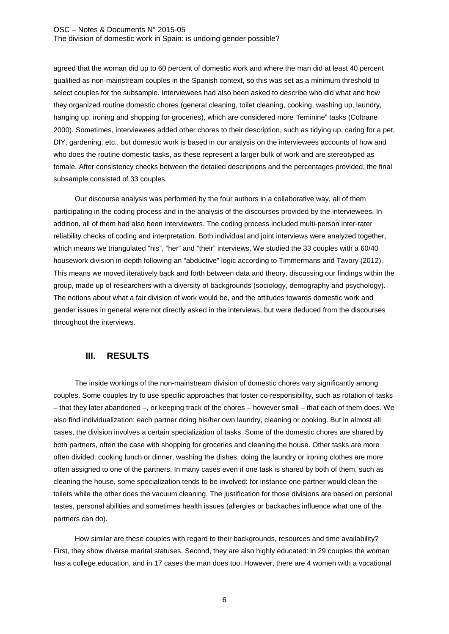agreed that the woman did up to 60 percent of domestic work and where the man did at least 40 percent qualified as non-mainstream couples in the Spanish context, so this was set as a minimum threshold to select couples for the subsample. Interviewees had also been asked to describe who did what and how they organized routine domestic chores (general cleaning, toilet cleaning, cooking, washing up, laundry, hanging up, ironing and shopping for groceries), which are considered more "feminine" tasks (Coltrane 2000). Sometimes, interviewees added other chores to their description, such as tidying up, caring for a pet, DIY, gardening, etc., but domestic work is based in our analysis on the interviewees accounts of how and who does the routine domestic tasks, as these represent a larger bulk of work and are stereotyped as female. After consistency checks between the detailed descriptions and the percentages provided, the final subsample consisted of 33 couples.

Our discourse analysis was performed by the four authors in a collaborative way, all of them participating in the coding process and in the analysis of the discourses provided by the interviewees. In addition, all of them had also been interviewers. The coding process included multi-person inter-rater reliability checks of coding and interpretation. Both individual and joint interviews were analyzed together, which means we triangulated "his", "her" and "their" interviews. We studied the 33 couples with a 60/40 housework division in-depth following an "abductive" logic according to Timmermans and Tavory (2012). This means we moved iteratively back and forth between data and theory, discussing our findings within the group, made up of researchers with a diversity of backgrounds (sociology, demography and psychology). The notions about what a fair division of work would be, and the attitudes towards domestic work and gender issues in general were not directly asked in the interviews, but were deduced from the discourses throughout the interviews.

## **III. RESULTS**

The inside workings of the non-mainstream division of domestic chores vary significantly among couples. Some couples try to use specific approaches that foster co-responsibility, such as rotation of tasks – that they later abandoned –, or keeping track of the chores – however small – that each of them does. We also find individualization: each partner doing his/her own laundry, cleaning or cooking. But in almost all cases, the division involves a certain specialization of tasks. Some of the domestic chores are shared by both partners, often the case with shopping for groceries and cleaning the house. Other tasks are more often divided: cooking lunch or dinner, washing the dishes, doing the laundry or ironing clothes are more often assigned to one of the partners. In many cases even if one task is shared by both of them, such as cleaning the house, some specialization tends to be involved: for instance one partner would clean the toilets while the other does the vacuum cleaning. The justification for those divisions are based on personal tastes, personal abilities and sometimes health issues (allergies or backaches influence what one of the partners can do).

How similar are these couples with regard to their backgrounds, resources and time availability? First, they show diverse marital statuses. Second, they are also highly educated: in 29 couples the woman has a college education, and in 17 cases the man does too. However, there are 4 women with a vocational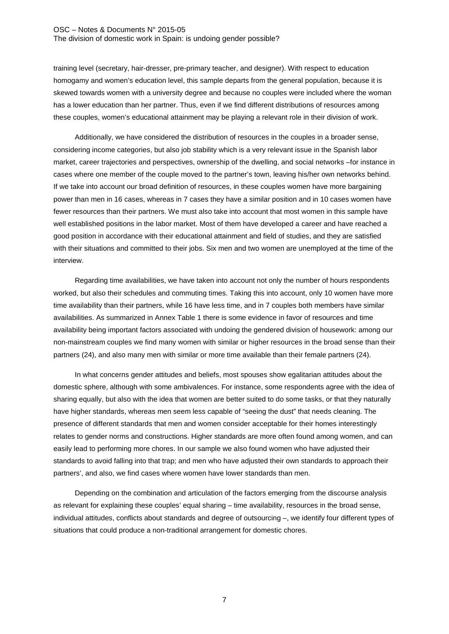training level (secretary, hair-dresser, pre-primary teacher, and designer). With respect to education homogamy and women's education level, this sample departs from the general population, because it is skewed towards women with a university degree and because no couples were included where the woman has a lower education than her partner. Thus, even if we find different distributions of resources among these couples, women's educational attainment may be playing a relevant role in their division of work.

Additionally, we have considered the distribution of resources in the couples in a broader sense, considering income categories, but also job stability which is a very relevant issue in the Spanish labor market, career trajectories and perspectives, ownership of the dwelling, and social networks –for instance in cases where one member of the couple moved to the partner's town, leaving his/her own networks behind. If we take into account our broad definition of resources, in these couples women have more bargaining power than men in 16 cases, whereas in 7 cases they have a similar position and in 10 cases women have fewer resources than their partners. We must also take into account that most women in this sample have well established positions in the labor market. Most of them have developed a career and have reached a good position in accordance with their educational attainment and field of studies, and they are satisfied with their situations and committed to their jobs. Six men and two women are unemployed at the time of the interview.

Regarding time availabilities, we have taken into account not only the number of hours respondents worked, but also their schedules and commuting times. Taking this into account, only 10 women have more time availability than their partners, while 16 have less time, and in 7 couples both members have similar availabilities. As summarized in Annex Table 1 there is some evidence in favor of resources and time availability being important factors associated with undoing the gendered division of housework: among our non-mainstream couples we find many women with similar or higher resources in the broad sense than their partners (24), and also many men with similar or more time available than their female partners (24).

In what concerns gender attitudes and beliefs, most spouses show egalitarian attitudes about the domestic sphere, although with some ambivalences. For instance, some respondents agree with the idea of sharing equally, but also with the idea that women are better suited to do some tasks, or that they naturally have higher standards, whereas men seem less capable of "seeing the dust" that needs cleaning. The presence of different standards that men and women consider acceptable for their homes interestingly relates to gender norms and constructions. Higher standards are more often found among women, and can easily lead to performing more chores. In our sample we also found women who have adjusted their standards to avoid falling into that trap; and men who have adjusted their own standards to approach their partners', and also, we find cases where women have lower standards than men.

Depending on the combination and articulation of the factors emerging from the discourse analysis as relevant for explaining these couples' equal sharing – time availability, resources in the broad sense, individual attitudes, conflicts about standards and degree of outsourcing –, we identify four different types of situations that could produce a non-traditional arrangement for domestic chores.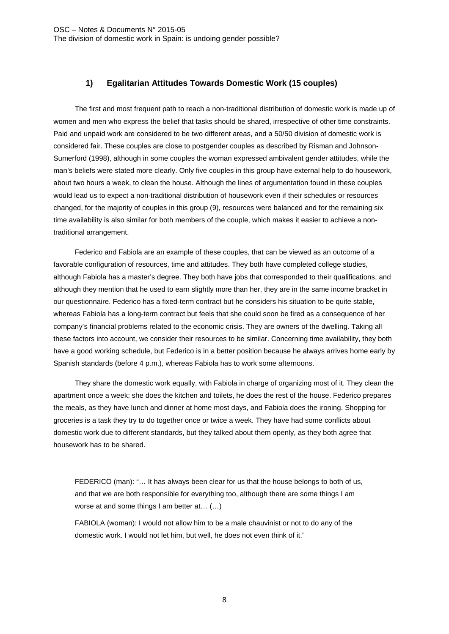## **1) Egalitarian Attitudes Towards Domestic Work (15 couples)**

The first and most frequent path to reach a non-traditional distribution of domestic work is made up of women and men who express the belief that tasks should be shared, irrespective of other time constraints. Paid and unpaid work are considered to be two different areas, and a 50/50 division of domestic work is considered fair. These couples are close to postgender couples as described by Risman and Johnson-Sumerford (1998), although in some couples the woman expressed ambivalent gender attitudes, while the man's beliefs were stated more clearly. Only five couples in this group have external help to do housework, about two hours a week, to clean the house. Although the lines of argumentation found in these couples would lead us to expect a non-traditional distribution of housework even if their schedules or resources changed, for the majority of couples in this group (9), resources were balanced and for the remaining six time availability is also similar for both members of the couple, which makes it easier to achieve a nontraditional arrangement.

Federico and Fabiola are an example of these couples, that can be viewed as an outcome of a favorable configuration of resources, time and attitudes. They both have completed college studies, although Fabiola has a master's degree. They both have jobs that corresponded to their qualifications, and although they mention that he used to earn slightly more than her, they are in the same income bracket in our questionnaire. Federico has a fixed-term contract but he considers his situation to be quite stable, whereas Fabiola has a long-term contract but feels that she could soon be fired as a consequence of her company's financial problems related to the economic crisis. They are owners of the dwelling. Taking all these factors into account, we consider their resources to be similar. Concerning time availability, they both have a good working schedule, but Federico is in a better position because he always arrives home early by Spanish standards (before 4 p.m.), whereas Fabiola has to work some afternoons.

They share the domestic work equally, with Fabiola in charge of organizing most of it. They clean the apartment once a week; she does the kitchen and toilets, he does the rest of the house. Federico prepares the meals, as they have lunch and dinner at home most days, and Fabiola does the ironing. Shopping for groceries is a task they try to do together once or twice a week. They have had some conflicts about domestic work due to different standards, but they talked about them openly, as they both agree that housework has to be shared.

FEDERICO (man): "… It has always been clear for us that the house belongs to both of us, and that we are both responsible for everything too, although there are some things I am worse at and some things I am better at… (…)

FABIOLA (woman): I would not allow him to be a male chauvinist or not to do any of the domestic work. I would not let him, but well, he does not even think of it."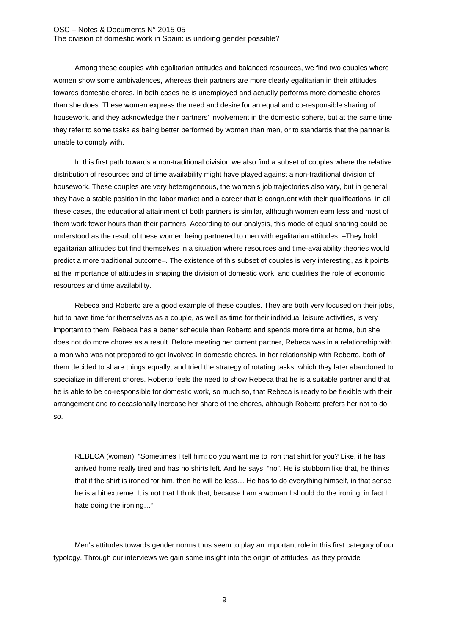Among these couples with egalitarian attitudes and balanced resources, we find two couples where women show some ambivalences, whereas their partners are more clearly egalitarian in their attitudes towards domestic chores. In both cases he is unemployed and actually performs more domestic chores than she does. These women express the need and desire for an equal and co-responsible sharing of housework, and they acknowledge their partners' involvement in the domestic sphere, but at the same time they refer to some tasks as being better performed by women than men, or to standards that the partner is unable to comply with.

In this first path towards a non-traditional division we also find a subset of couples where the relative distribution of resources and of time availability might have played against a non-traditional division of housework. These couples are very heterogeneous, the women's job trajectories also vary, but in general they have a stable position in the labor market and a career that is congruent with their qualifications. In all these cases, the educational attainment of both partners is similar, although women earn less and most of them work fewer hours than their partners. According to our analysis, this mode of equal sharing could be understood as the result of these women being partnered to men with egalitarian attitudes. –They hold egalitarian attitudes but find themselves in a situation where resources and time-availability theories would predict a more traditional outcome–. The existence of this subset of couples is very interesting, as it points at the importance of attitudes in shaping the division of domestic work, and qualifies the role of economic resources and time availability.

Rebeca and Roberto are a good example of these couples. They are both very focused on their jobs, but to have time for themselves as a couple, as well as time for their individual leisure activities, is very important to them. Rebeca has a better schedule than Roberto and spends more time at home, but she does not do more chores as a result. Before meeting her current partner, Rebeca was in a relationship with a man who was not prepared to get involved in domestic chores. In her relationship with Roberto, both of them decided to share things equally, and tried the strategy of rotating tasks, which they later abandoned to specialize in different chores. Roberto feels the need to show Rebeca that he is a suitable partner and that he is able to be co-responsible for domestic work, so much so, that Rebeca is ready to be flexible with their arrangement and to occasionally increase her share of the chores, although Roberto prefers her not to do so.

REBECA (woman): "Sometimes I tell him: do you want me to iron that shirt for you? Like, if he has arrived home really tired and has no shirts left. And he says: "no". He is stubborn like that, he thinks that if the shirt is ironed for him, then he will be less… He has to do everything himself, in that sense he is a bit extreme. It is not that I think that, because I am a woman I should do the ironing, in fact I hate doing the ironing…"

Men's attitudes towards gender norms thus seem to play an important role in this first category of our typology. Through our interviews we gain some insight into the origin of attitudes, as they provide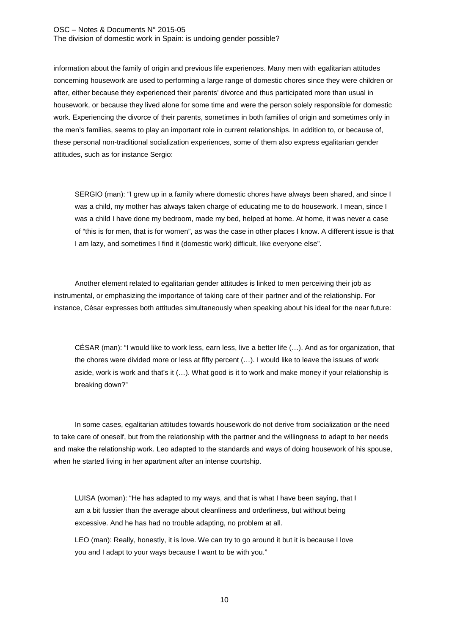information about the family of origin and previous life experiences. Many men with egalitarian attitudes concerning housework are used to performing a large range of domestic chores since they were children or after, either because they experienced their parents' divorce and thus participated more than usual in housework, or because they lived alone for some time and were the person solely responsible for domestic work. Experiencing the divorce of their parents, sometimes in both families of origin and sometimes only in the men's families, seems to play an important role in current relationships. In addition to, or because of, these personal non-traditional socialization experiences, some of them also express egalitarian gender attitudes, such as for instance Sergio:

SERGIO (man): "I grew up in a family where domestic chores have always been shared, and since I was a child, my mother has always taken charge of educating me to do housework. I mean, since I was a child I have done my bedroom, made my bed, helped at home. At home, it was never a case of "this is for men, that is for women", as was the case in other places I know. A different issue is that I am lazy, and sometimes I find it (domestic work) difficult, like everyone else".

Another element related to egalitarian gender attitudes is linked to men perceiving their job as instrumental, or emphasizing the importance of taking care of their partner and of the relationship. For instance, César expresses both attitudes simultaneously when speaking about his ideal for the near future:

CÉSAR (man): "I would like to work less, earn less, live a better life (…). And as for organization, that the chores were divided more or less at fifty percent (…). I would like to leave the issues of work aside, work is work and that's it (…). What good is it to work and make money if your relationship is breaking down?"

In some cases, egalitarian attitudes towards housework do not derive from socialization or the need to take care of oneself, but from the relationship with the partner and the willingness to adapt to her needs and make the relationship work. Leo adapted to the standards and ways of doing housework of his spouse, when he started living in her apartment after an intense courtship.

LUISA (woman): "He has adapted to my ways, and that is what I have been saying, that I am a bit fussier than the average about cleanliness and orderliness, but without being excessive. And he has had no trouble adapting, no problem at all.

LEO (man): Really, honestly, it is love. We can try to go around it but it is because I love you and I adapt to your ways because I want to be with you."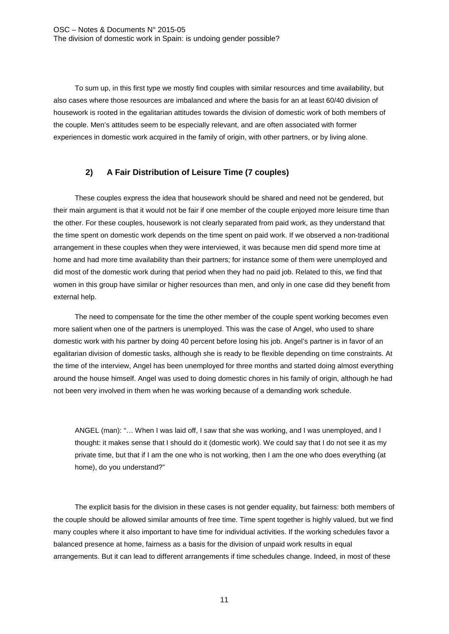To sum up, in this first type we mostly find couples with similar resources and time availability, but also cases where those resources are imbalanced and where the basis for an at least 60/40 division of housework is rooted in the egalitarian attitudes towards the division of domestic work of both members of the couple. Men's attitudes seem to be especially relevant, and are often associated with former experiences in domestic work acquired in the family of origin, with other partners, or by living alone.

## **2) A Fair Distribution of Leisure Time (7 couples)**

These couples express the idea that housework should be shared and need not be gendered, but their main argument is that it would not be fair if one member of the couple enjoyed more leisure time than the other. For these couples, housework is not clearly separated from paid work, as they understand that the time spent on domestic work depends on the time spent on paid work. If we observed a non-traditional arrangement in these couples when they were interviewed, it was because men did spend more time at home and had more time availability than their partners; for instance some of them were unemployed and did most of the domestic work during that period when they had no paid job. Related to this, we find that women in this group have similar or higher resources than men, and only in one case did they benefit from external help.

The need to compensate for the time the other member of the couple spent working becomes even more salient when one of the partners is unemployed. This was the case of Angel, who used to share domestic work with his partner by doing 40 percent before losing his job. Angel's partner is in favor of an egalitarian division of domestic tasks, although she is ready to be flexible depending on time constraints. At the time of the interview, Angel has been unemployed for three months and started doing almost everything around the house himself. Angel was used to doing domestic chores in his family of origin, although he had not been very involved in them when he was working because of a demanding work schedule.

ANGEL (man): "… When I was laid off, I saw that she was working, and I was unemployed, and I thought: it makes sense that I should do it (domestic work). We could say that I do not see it as my private time, but that if I am the one who is not working, then I am the one who does everything (at home), do you understand?"

The explicit basis for the division in these cases is not gender equality, but fairness: both members of the couple should be allowed similar amounts of free time. Time spent together is highly valued, but we find many couples where it also important to have time for individual activities. If the working schedules favor a balanced presence at home, fairness as a basis for the division of unpaid work results in equal arrangements. But it can lead to different arrangements if time schedules change. Indeed, in most of these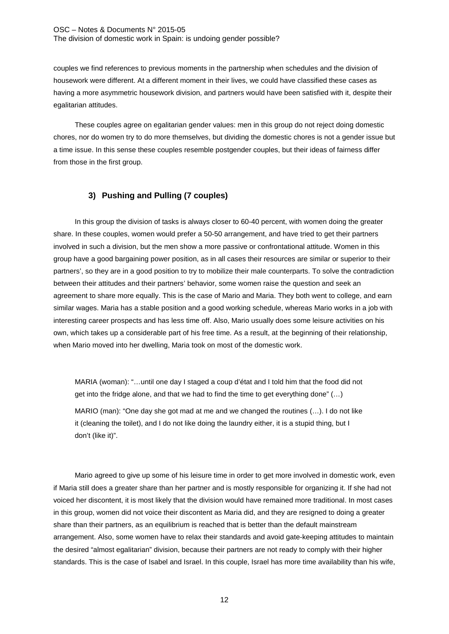couples we find references to previous moments in the partnership when schedules and the division of housework were different. At a different moment in their lives, we could have classified these cases as having a more asymmetric housework division, and partners would have been satisfied with it, despite their egalitarian attitudes.

These couples agree on egalitarian gender values: men in this group do not reject doing domestic chores, nor do women try to do more themselves, but dividing the domestic chores is not a gender issue but a time issue. In this sense these couples resemble postgender couples, but their ideas of fairness differ from those in the first group.

## **3) Pushing and Pulling (7 couples)**

In this group the division of tasks is always closer to 60-40 percent, with women doing the greater share. In these couples, women would prefer a 50-50 arrangement, and have tried to get their partners involved in such a division, but the men show a more passive or confrontational attitude. Women in this group have a good bargaining power position, as in all cases their resources are similar or superior to their partners', so they are in a good position to try to mobilize their male counterparts. To solve the contradiction between their attitudes and their partners' behavior, some women raise the question and seek an agreement to share more equally. This is the case of Mario and Maria. They both went to college, and earn similar wages. Maria has a stable position and a good working schedule, whereas Mario works in a job with interesting career prospects and has less time off. Also, Mario usually does some leisure activities on his own, which takes up a considerable part of his free time. As a result, at the beginning of their relationship, when Mario moved into her dwelling, Maria took on most of the domestic work.

MARIA (woman): "…until one day I staged a coup d'état and I told him that the food did not get into the fridge alone, and that we had to find the time to get everything done" (…)

MARIO (man): "One day she got mad at me and we changed the routines (…). I do not like it (cleaning the toilet), and I do not like doing the laundry either, it is a stupid thing, but I don't (like it)".

Mario agreed to give up some of his leisure time in order to get more involved in domestic work, even if Maria still does a greater share than her partner and is mostly responsible for organizing it. If she had not voiced her discontent, it is most likely that the division would have remained more traditional. In most cases in this group, women did not voice their discontent as Maria did, and they are resigned to doing a greater share than their partners, as an equilibrium is reached that is better than the default mainstream arrangement. Also, some women have to relax their standards and avoid gate-keeping attitudes to maintain the desired "almost egalitarian" division, because their partners are not ready to comply with their higher standards. This is the case of Isabel and Israel. In this couple, Israel has more time availability than his wife,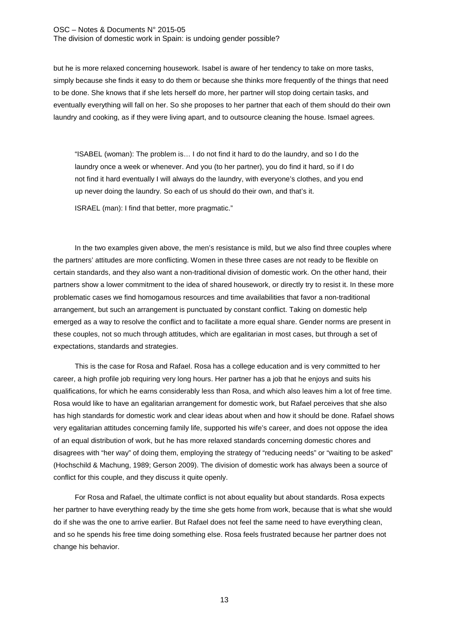but he is more relaxed concerning housework. Isabel is aware of her tendency to take on more tasks, simply because she finds it easy to do them or because she thinks more frequently of the things that need to be done. She knows that if she lets herself do more, her partner will stop doing certain tasks, and eventually everything will fall on her. So she proposes to her partner that each of them should do their own laundry and cooking, as if they were living apart, and to outsource cleaning the house. Ismael agrees.

"ISABEL (woman): The problem is… I do not find it hard to do the laundry, and so I do the laundry once a week or whenever. And you (to her partner), you do find it hard, so if I do not find it hard eventually I will always do the laundry, with everyone's clothes, and you end up never doing the laundry. So each of us should do their own, and that's it.

ISRAEL (man): I find that better, more pragmatic."

In the two examples given above, the men's resistance is mild, but we also find three couples where the partners' attitudes are more conflicting. Women in these three cases are not ready to be flexible on certain standards, and they also want a non-traditional division of domestic work. On the other hand, their partners show a lower commitment to the idea of shared housework, or directly try to resist it. In these more problematic cases we find homogamous resources and time availabilities that favor a non-traditional arrangement, but such an arrangement is punctuated by constant conflict. Taking on domestic help emerged as a way to resolve the conflict and to facilitate a more equal share. Gender norms are present in these couples, not so much through attitudes, which are egalitarian in most cases, but through a set of expectations, standards and strategies.

This is the case for Rosa and Rafael. Rosa has a college education and is very committed to her career, a high profile job requiring very long hours. Her partner has a job that he enjoys and suits his qualifications, for which he earns considerably less than Rosa, and which also leaves him a lot of free time. Rosa would like to have an egalitarian arrangement for domestic work, but Rafael perceives that she also has high standards for domestic work and clear ideas about when and how it should be done. Rafael shows very egalitarian attitudes concerning family life, supported his wife's career, and does not oppose the idea of an equal distribution of work, but he has more relaxed standards concerning domestic chores and disagrees with "her way" of doing them, employing the strategy of "reducing needs" or "waiting to be asked" (Hochschild & Machung, 1989; Gerson 2009). The division of domestic work has always been a source of conflict for this couple, and they discuss it quite openly.

For Rosa and Rafael, the ultimate conflict is not about equality but about standards. Rosa expects her partner to have everything ready by the time she gets home from work, because that is what she would do if she was the one to arrive earlier. But Rafael does not feel the same need to have everything clean, and so he spends his free time doing something else. Rosa feels frustrated because her partner does not change his behavior.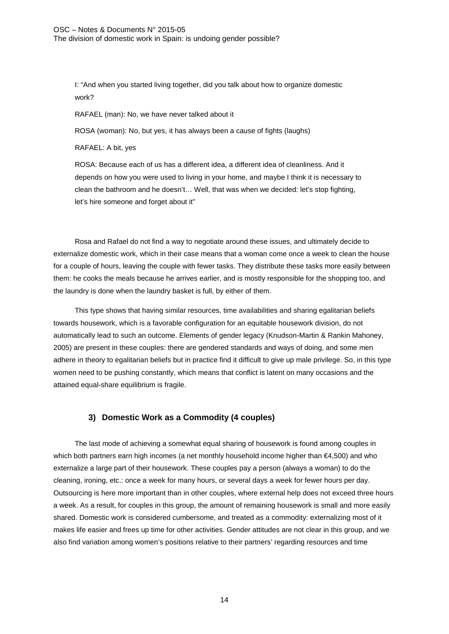I: "And when you started living together, did you talk about how to organize domestic work?

RAFAEL (man): No, we have never talked about it

ROSA (woman): No, but yes, it has always been a cause of fights (laughs)

RAFAEL: A bit, yes

ROSA: Because each of us has a different idea, a different idea of cleanliness. And it depends on how you were used to living in your home, and maybe I think it is necessary to clean the bathroom and he doesn't… Well, that was when we decided: let's stop fighting, let's hire someone and forget about it"

Rosa and Rafael do not find a way to negotiate around these issues, and ultimately decide to externalize domestic work, which in their case means that a woman come once a week to clean the house for a couple of hours, leaving the couple with fewer tasks. They distribute these tasks more easily between them: he cooks the meals because he arrives earlier, and is mostly responsible for the shopping too, and the laundry is done when the laundry basket is full, by either of them.

This type shows that having similar resources, time availabilities and sharing egalitarian beliefs towards housework, which is a favorable configuration for an equitable housework division, do not automatically lead to such an outcome. Elements of gender legacy (Knudson-Martin & Rankin Mahoney, 2005) are present in these couples: there are gendered standards and ways of doing, and some men adhere in theory to egalitarian beliefs but in practice find it difficult to give up male privilege. So, in this type women need to be pushing constantly, which means that conflict is latent on many occasions and the attained equal-share equilibrium is fragile.

## **3) Domestic Work as a Commodity (4 couples)**

The last mode of achieving a somewhat equal sharing of housework is found among couples in which both partners earn high incomes (a net monthly household income higher than €4,500) and who externalize a large part of their housework. These couples pay a person (always a woman) to do the cleaning, ironing, etc.: once a week for many hours, or several days a week for fewer hours per day. Outsourcing is here more important than in other couples, where external help does not exceed three hours a week. As a result, for couples in this group, the amount of remaining housework is small and more easily shared. Domestic work is considered cumbersome, and treated as a commodity: externalizing most of it makes life easier and frees up time for other activities. Gender attitudes are not clear in this group, and we also find variation among women's positions relative to their partners' regarding resources and time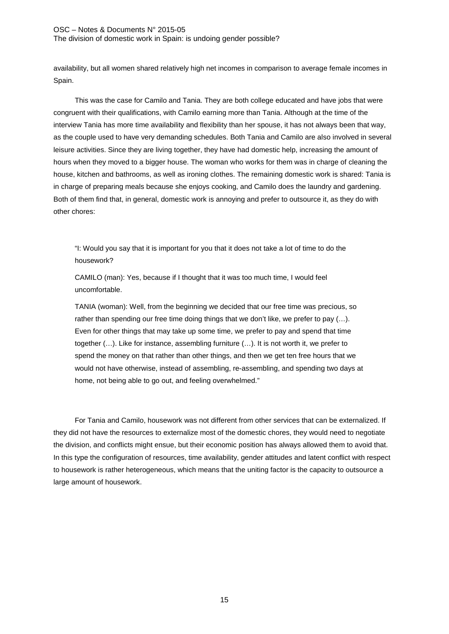availability, but all women shared relatively high net incomes in comparison to average female incomes in Spain.

This was the case for Camilo and Tania. They are both college educated and have jobs that were congruent with their qualifications, with Camilo earning more than Tania. Although at the time of the interview Tania has more time availability and flexibility than her spouse, it has not always been that way, as the couple used to have very demanding schedules. Both Tania and Camilo are also involved in several leisure activities. Since they are living together, they have had domestic help, increasing the amount of hours when they moved to a bigger house. The woman who works for them was in charge of cleaning the house, kitchen and bathrooms, as well as ironing clothes. The remaining domestic work is shared: Tania is in charge of preparing meals because she enjoys cooking, and Camilo does the laundry and gardening. Both of them find that, in general, domestic work is annoying and prefer to outsource it, as they do with other chores:

"I: Would you say that it is important for you that it does not take a lot of time to do the housework?

CAMILO (man): Yes, because if I thought that it was too much time, I would feel uncomfortable.

TANIA (woman): Well, from the beginning we decided that our free time was precious, so rather than spending our free time doing things that we don't like, we prefer to pay (...). Even for other things that may take up some time, we prefer to pay and spend that time together (…). Like for instance, assembling furniture (…). It is not worth it, we prefer to spend the money on that rather than other things, and then we get ten free hours that we would not have otherwise, instead of assembling, re-assembling, and spending two days at home, not being able to go out, and feeling overwhelmed."

For Tania and Camilo, housework was not different from other services that can be externalized. If they did not have the resources to externalize most of the domestic chores, they would need to negotiate the division, and conflicts might ensue, but their economic position has always allowed them to avoid that. In this type the configuration of resources, time availability, gender attitudes and latent conflict with respect to housework is rather heterogeneous, which means that the uniting factor is the capacity to outsource a large amount of housework.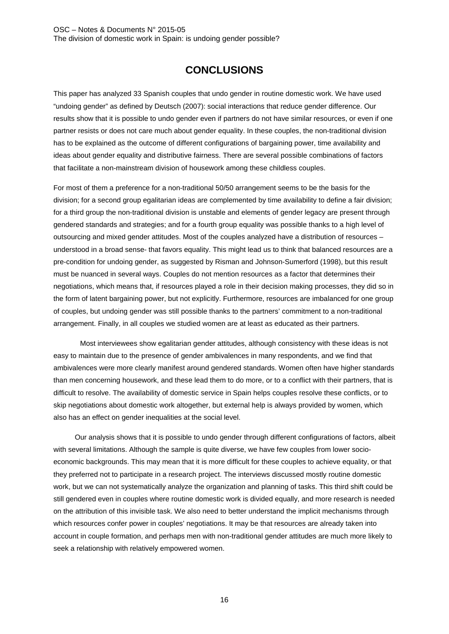# **CONCLUSIONS**

This paper has analyzed 33 Spanish couples that undo gender in routine domestic work. We have used "undoing gender" as defined by Deutsch (2007): social interactions that reduce gender difference. Our results show that it is possible to undo gender even if partners do not have similar resources, or even if one partner resists or does not care much about gender equality. In these couples, the non-traditional division has to be explained as the outcome of different configurations of bargaining power, time availability and ideas about gender equality and distributive fairness. There are several possible combinations of factors that facilitate a non-mainstream division of housework among these childless couples.

For most of them a preference for a non-traditional 50/50 arrangement seems to be the basis for the division; for a second group egalitarian ideas are complemented by time availability to define a fair division; for a third group the non-traditional division is unstable and elements of gender legacy are present through gendered standards and strategies; and for a fourth group equality was possible thanks to a high level of outsourcing and mixed gender attitudes. Most of the couples analyzed have a distribution of resources – understood in a broad sense- that favors equality. This might lead us to think that balanced resources are a pre-condition for undoing gender, as suggested by Risman and Johnson-Sumerford (1998), but this result must be nuanced in several ways. Couples do not mention resources as a factor that determines their negotiations, which means that, if resources played a role in their decision making processes, they did so in the form of latent bargaining power, but not explicitly. Furthermore, resources are imbalanced for one group of couples, but undoing gender was still possible thanks to the partners' commitment to a non-traditional arrangement. Finally, in all couples we studied women are at least as educated as their partners.

Most interviewees show egalitarian gender attitudes, although consistency with these ideas is not easy to maintain due to the presence of gender ambivalences in many respondents, and we find that ambivalences were more clearly manifest around gendered standards. Women often have higher standards than men concerning housework, and these lead them to do more, or to a conflict with their partners, that is difficult to resolve. The availability of domestic service in Spain helps couples resolve these conflicts, or to skip negotiations about domestic work altogether, but external help is always provided by women, which also has an effect on gender inequalities at the social level.

Our analysis shows that it is possible to undo gender through different configurations of factors, albeit with several limitations. Although the sample is quite diverse, we have few couples from lower socioeconomic backgrounds. This may mean that it is more difficult for these couples to achieve equality, or that they preferred not to participate in a research project. The interviews discussed mostly routine domestic work, but we can not systematically analyze the organization and planning of tasks. This third shift could be still gendered even in couples where routine domestic work is divided equally, and more research is needed on the attribution of this invisible task. We also need to better understand the implicit mechanisms through which resources confer power in couples' negotiations. It may be that resources are already taken into account in couple formation, and perhaps men with non-traditional gender attitudes are much more likely to seek a relationship with relatively empowered women.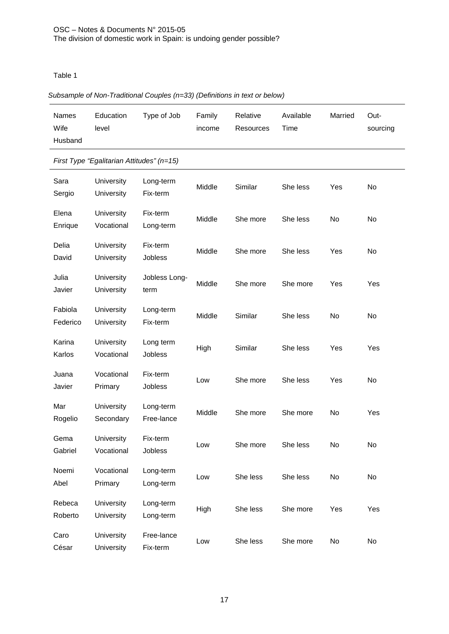Table 1

## *Subsample of Non-Traditional Couples (n=33) (Definitions in text or below)*

| <b>Names</b><br>Wife<br>Husband | Education<br>level | Type of Job | Family<br>income | Relative<br>Resources | Available<br>Time | Married | Out-<br>sourcing |
|---------------------------------|--------------------|-------------|------------------|-----------------------|-------------------|---------|------------------|
|                                 |                    |             |                  |                       |                   |         |                  |

## *First Type "Egalitarian Attitudes" (n=15)*

|                     | $\mu$ not type Egamanan nunades $\mu$ –10, |                         |        |          |          |     |     |
|---------------------|--------------------------------------------|-------------------------|--------|----------|----------|-----|-----|
| Sara<br>Sergio      | University<br>University                   | Long-term<br>Fix-term   | Middle | Similar  | She less | Yes | No  |
| Elena<br>Enrique    | University<br>Vocational                   | Fix-term<br>Long-term   | Middle | She more | She less | No  | No  |
| Delia<br>David      | University<br>University                   | Fix-term<br>Jobless     | Middle | She more | She less | Yes | No  |
| Julia<br>Javier     | University<br><b>University</b>            | Jobless Long-<br>term   | Middle | She more | She more | Yes | Yes |
| Fabiola<br>Federico | University<br>University                   | Long-term<br>Fix-term   | Middle | Similar  | She less | No  | No  |
| Karina<br>Karlos    | University<br>Vocational                   | Long term<br>Jobless    | High   | Similar  | She less | Yes | Yes |
| Juana<br>Javier     | Vocational<br>Primary                      | Fix-term<br>Jobless     | Low    | She more | She less | Yes | No  |
| Mar<br>Rogelio      | <b>University</b><br>Secondary             | Long-term<br>Free-lance | Middle | She more | She more | No  | Yes |
| Gema<br>Gabriel     | University<br>Vocational                   | Fix-term<br>Jobless     | Low    | She more | She less | No  | No  |
| Noemi<br>Abel       | Vocational<br>Primary                      | Long-term<br>Long-term  | Low    | She less | She less | No  | No  |
| Rebeca<br>Roberto   | University<br>University                   | Long-term<br>Long-term  | High   | She less | She more | Yes | Yes |
| Caro<br>César       | University<br>University                   | Free-lance<br>Fix-term  | Low    | She less | She more | No  | No  |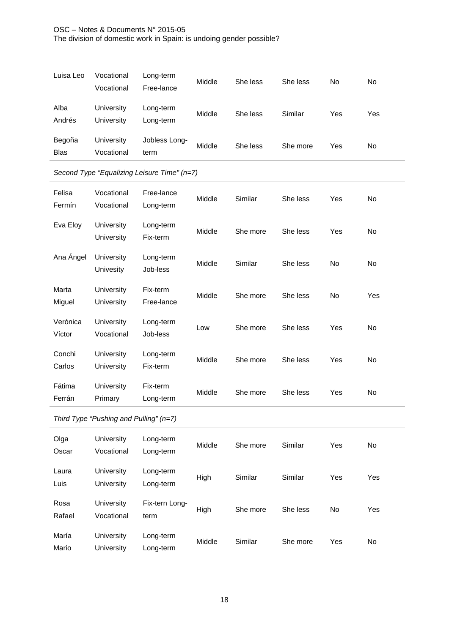| Luisa Leo             | Vocational<br>Vocational | Long-term<br>Free-lance | Middle | She less | She less | No  | No  |
|-----------------------|--------------------------|-------------------------|--------|----------|----------|-----|-----|
| Alba<br>Andrés        | University<br>University | Long-term<br>Long-term  | Middle | She less | Similar  | Yes | Yes |
| Begoña<br><b>Blas</b> | University<br>Vocational | Jobless Long-<br>term   | Middle | She less | She more | Yes | No  |

## *Second Type "Equalizing Leisure Time" (n=7)*

l.

| Felisa<br>Fermín   | Vocational<br>Vocational        | Free-lance<br>Long-term | Middle | Similar  | She less | Yes            | No  |
|--------------------|---------------------------------|-------------------------|--------|----------|----------|----------------|-----|
| Eva Eloy           | University<br>University        | Long-term<br>Fix-term   | Middle | She more | She less | Yes            | No  |
| Ana Ángel          | University<br>Univesity         | Long-term<br>Job-less   | Middle | Similar  | She less | N <sub>o</sub> | No  |
| Marta<br>Miguel    | University<br>University        | Fix-term<br>Free-lance  | Middle | She more | She less | No             | Yes |
| Verónica<br>Víctor | <b>University</b><br>Vocational | Long-term<br>Job-less   | Low    | She more | She less | Yes            | No  |
| Conchi<br>Carlos   | University<br><b>University</b> | Long-term<br>Fix-term   | Middle | She more | She less | Yes            | No  |
| Fátima<br>Ferrán   | University<br>Primary           | Fix-term<br>Long-term   | Middle | She more | She less | Yes            | No  |

## *Third Type "Pushing and Pulling" (n=7)*

| Olga<br>Oscar  | <b>University</b><br>Vocational | Long-term<br>Long-term | Middle | She more | Similar  | Yes       | No  |
|----------------|---------------------------------|------------------------|--------|----------|----------|-----------|-----|
| Laura<br>Luis  | University<br>University        | Long-term<br>Long-term | High   | Similar  | Similar  | Yes       | Yes |
| Rosa<br>Rafael | <b>University</b><br>Vocational | Fix-tern Long-<br>term | High   | She more | She less | <b>No</b> | Yes |
| María<br>Mario | University<br>University        | Long-term<br>Long-term | Middle | Similar  | She more | Yes       | No  |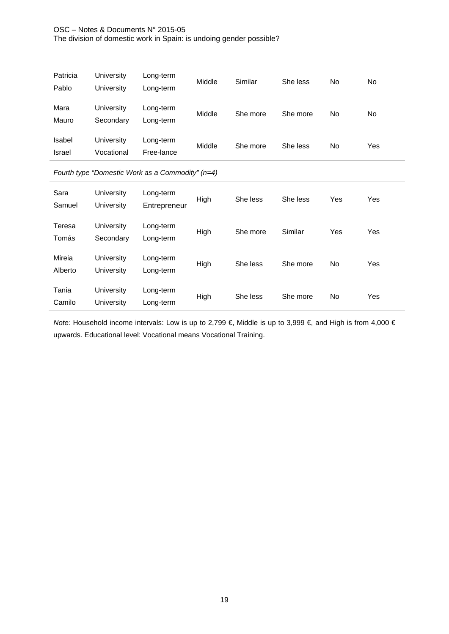| Patricia<br>Pablo | University<br>University | Long-term<br>Long-term  | Middle | Similar  | She less | No | No  |
|-------------------|--------------------------|-------------------------|--------|----------|----------|----|-----|
| Mara<br>Mauro     | University<br>Secondary  | Long-term<br>Long-term  | Middle | She more | She more | No | No  |
| Isabel<br>Israel  | University<br>Vocational | Long-term<br>Free-lance | Middle | She more | She less | No | Yes |

## *Fourth type "Domestic Work as a Commodity" (n=4)*

l.

| Sara<br>Samuel    | University<br>University | Long-term<br>Entrepreneur | High | She less | She less | Yes | Yes |
|-------------------|--------------------------|---------------------------|------|----------|----------|-----|-----|
| Teresa<br>Tomás   | University<br>Secondary  | Long-term<br>Long-term    | High | She more | Similar  | Yes | Yes |
| Mireia<br>Alberto | University<br>University | Long-term<br>Long-term    | High | She less | She more | No  | Yes |
| Tania<br>Camilo   | University<br>University | Long-term<br>Long-term    | High | She less | She more | No  | Yes |

*Note:* Household income intervals: Low is up to 2,799 €, Middle is up to 3,999 €, and High is from 4,000 € upwards. Educational level: Vocational means Vocational Training.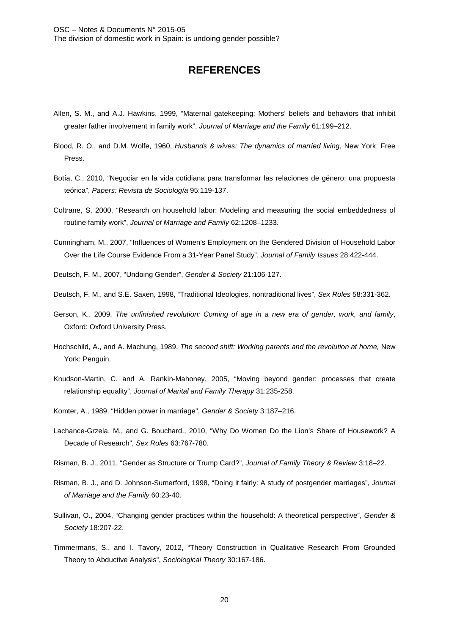# **REFERENCES**

- Allen, S. M., and A.J. Hawkins, 1999, "Maternal gatekeeping: Mothers' beliefs and behaviors that inhibit greater father involvement in family work", *Journal of Marriage and the Family* 61:199–212.
- Blood, R. O., and D.M. Wolfe, 1960, *Husbands & wives: The dynamics of married living*, New York: Free Press.
- Botía, C., 2010, "Negociar en la vida cotidiana para transformar las relaciones de género: una propuesta teórica", *Papers: Revista de Sociología* 95:119-137.
- Coltrane, S, 2000, "Research on household labor: Modeling and measuring the social embeddedness of routine family work", *Journal of Marriage and Family* 62:1208–1233.
- Cunningham, M., 2007, "Influences of Women's Employment on the Gendered Division of Household Labor Over the Life Course Evidence From a 31-Year Panel Study", *Journal of Family Issues* 28:422-444.
- Deutsch, F. M., 2007, "Undoing Gender", *Gender & Society* 21:106-127.
- Deutsch, F. M., and S.E. Saxen, 1998, "Traditional Ideologies, nontraditional lives", *Sex Roles* 58:331-362.
- Gerson, K., 2009, *The unfinished revolution: Coming of age in a new era of gender, work, and family*, Oxford: Oxford University Press.
- Hochschild, A., and A. Machung, 1989, *The second shift: Working parents and the revolution at home,* New York: Penguin.
- Knudson-Martin, C. and A. Rankin-Mahoney, 2005, "Moving beyond gender: processes that create relationship equality", *Journal of Marital and Family Therapy* 31:235-258.
- Komter, A., 1989, "Hidden power in marriage", *Gender & Society* 3:187–216.
- Lachance-Grzela, M., and G. Bouchard., 2010, "Why Do Women Do the Lion's Share of Housework? A Decade of Research", *Sex Roles* 63:767-780.
- Risman, B. J., 2011, "Gender as Structure or Trump Card?", *Journal of Family Theory & Review* 3:18–22.
- Risman, B. J., and D. Johnson-Sumerford, 1998, "Doing it fairly: A study of postgender marriages", *Journal of Marriage and the Family* 60:23-40.
- Sullivan, O., 2004, "Changing gender practices within the household: A theoretical perspective", *Gender & Society* 18:207-22.
- Timmermans, S., and I. Tavory, 2012, "Theory Construction in Qualitative Research From Grounded Theory to Abductive Analysis", *Sociological Theory* 30:167-186.